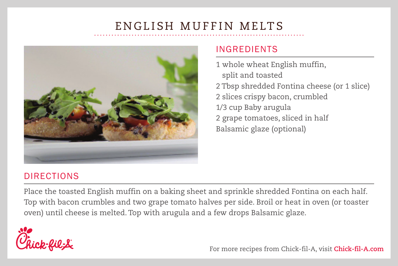# ENGLISH MUFFIN MELTS



#### INGREDIENTS

1 whole wheat English muffin, split and toasted 2 Tbsp shredded Fontina cheese (or 1 slice) 2 slices crispy bacon, crumbled 1/3 cup Baby arugula 2 grape tomatoes, sliced in half Balsamic glaze (optional)

## DIRECTIONS

Place the toasted English muffin on a baking sheet and sprinkle shredded Fontina on each half. Top with bacon crumbles and two grape tomato halves per side. Broil or heat in oven (or toaster oven) until cheese is melted. Top with arugula and a few drops Balsamic glaze.



For more recipes from Chick-fil-A, visit **Chick-fil-A.com**